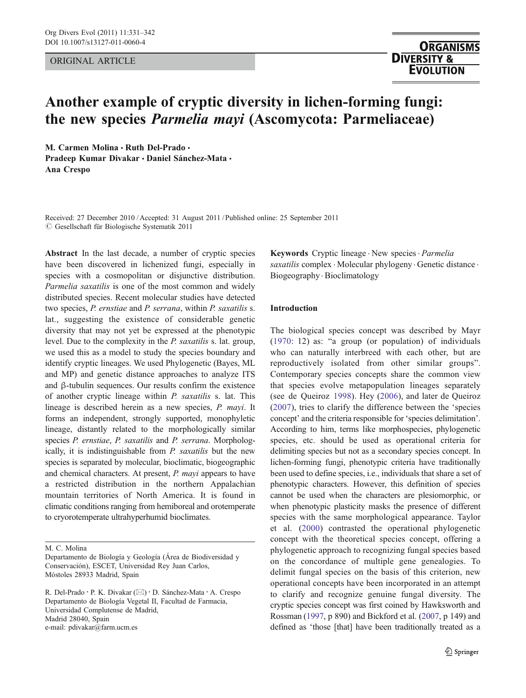## ORIGINAL ARTICLE

# Another example of cryptic diversity in lichen-forming fungi: the new species Parmelia mayi (Ascomycota: Parmeliaceae)

M. Carmen Molina . Ruth Del-Prado . Pradeep Kumar Divakar · Daniel Sánchez-Mata · Ana Crespo

Received: 27 December 2010 / Accepted: 31 August 2011 / Published online: 25 September 2011  $\odot$  Gesellschaft für Biologische Systematik 2011

Abstract In the last decade, a number of cryptic species have been discovered in lichenized fungi, especially in species with a cosmopolitan or disjunctive distribution. Parmelia saxatilis is one of the most common and widely distributed species. Recent molecular studies have detected two species, P. ernstiae and P. serrana, within P. saxatilis s. lat., suggesting the existence of considerable genetic diversity that may not yet be expressed at the phenotypic level. Due to the complexity in the P. saxatilis s. lat. group, we used this as a model to study the species boundary and identify cryptic lineages. We used Phylogenetic (Bayes, ML and MP) and genetic distance approaches to analyze ITS and β-tubulin sequences. Our results confirm the existence of another cryptic lineage within P. saxatilis s. lat. This lineage is described herein as a new species, P. mayi. It forms an independent, strongly supported, monophyletic lineage, distantly related to the morphologically similar species P. ernstiae, P. saxatilis and P. serrana. Morphologically, it is indistinguishable from P. saxatilis but the new species is separated by molecular, bioclimatic, biogeographic and chemical characters. At present, P. mayi appears to have a restricted distribution in the northern Appalachian mountain territories of North America. It is found in climatic conditions ranging from hemiboreal and orotemperate to cryorotemperate ultrahyperhumid bioclimates.

Keywords Cryptic lineage . New species . Parmelia saxatilis complex  $\cdot$  Molecular phylogeny $\cdot$  Genetic distance  $\cdot$ Biogeography . Bioclimatology

# Introduction

The biological species concept was described by Mayr [\(1970:](#page-11-0) 12) as: "a group (or population) of individuals who can naturally interbreed with each other, but are reproductively isolated from other similar groups". Contemporary species concepts share the common view that species evolve metapopulation lineages separately (see de Queiroz [1998](#page-10-0)). Hey ([2006\)](#page-11-0), and later de Queiroz [\(2007\)](#page-10-0), tries to clarify the difference between the 'species concept' and the criteria responsible for 'species delimitation'. According to him, terms like morphospecies, phylogenetic species, etc. should be used as operational criteria for delimiting species but not as a secondary species concept. In lichen-forming fungi, phenotypic criteria have traditionally been used to define species, i.e., individuals that share a set of phenotypic characters. However, this definition of species cannot be used when the characters are plesiomorphic, or when phenotypic plasticity masks the presence of different species with the same morphological appearance. Taylor et al. ([2000](#page-11-0)) contrasted the operational phylogenetic concept with the theoretical species concept, offering a phylogenetic approach to recognizing fungal species based on the concordance of multiple gene genealogies. To delimit fungal species on the basis of this criterion, new operational concepts have been incorporated in an attempt to clarify and recognize genuine fungal diversity. The cryptic species concept was first coined by Hawksworth and Rossman [\(1997,](#page-11-0) p 890) and Bickford et al. ([2007](#page-10-0), p 149) and defined as 'those [that] have been traditionally treated as a

M. C. Molina

Departamento de Biología y Geología (Área de Biodiversidad y Conservación), ESCET, Universidad Rey Juan Carlos, Móstoles 28933 Madrid, Spain

R. Del-Prado · P. K. Divakar (⊠) · D. Sánchez-Mata · A. Crespo Departamento de Biología Vegetal II, Facultad de Farmacia, Universidad Complutense de Madrid, Madrid 28040, Spain e-mail: pdivakar@farm.ucm.es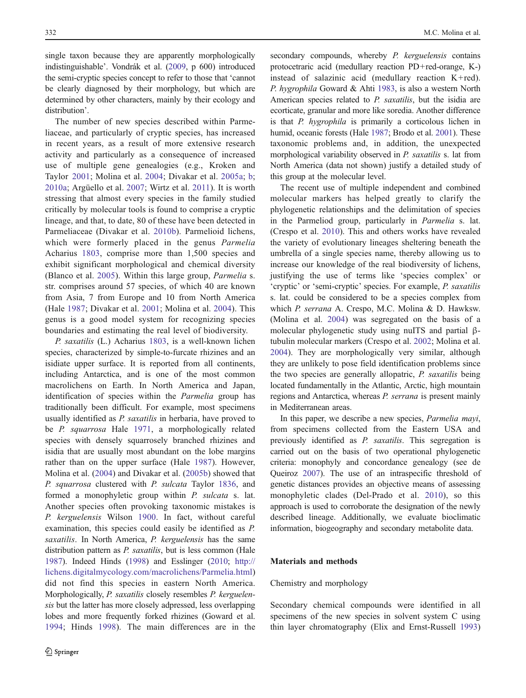single taxon because they are apparently morphologically indistinguishable'. Vondrák et al. ([2009](#page-11-0), p 600) introduced the semi-cryptic species concept to refer to those that 'cannot be clearly diagnosed by their morphology, but which are determined by other characters, mainly by their ecology and distribution'.

The number of new species described within Parmeliaceae, and particularly of cryptic species, has increased in recent years, as a result of more extensive research activity and particularly as a consequence of increased use of multiple gene genealogies (e.g., Kroken and Taylor [2001](#page-11-0); Molina et al. [2004;](#page-11-0) Divakar et al. [2005a](#page-10-0); [b](#page-10-0); [2010a;](#page-10-0) Argüello et al. [2007;](#page-10-0) Wirtz et al. [2011](#page-11-0)). It is worth stressing that almost every species in the family studied critically by molecular tools is found to comprise a cryptic lineage, and that, to date, 80 of these have been detected in Parmeliaceae (Divakar et al. [2010b\)](#page-10-0). Parmelioid lichens, which were formerly placed in the genus Parmelia Acharius [1803](#page-10-0), comprise more than 1,500 species and exhibit significant morphological and chemical diversity (Blanco et al. [2005\)](#page-10-0). Within this large group, Parmelia s. str. comprises around 57 species, of which 40 are known from Asia, 7 from Europe and 10 from North America (Hale [1987;](#page-11-0) Divakar et al. [2001](#page-10-0); Molina et al. [2004](#page-11-0)). This genus is a good model system for recognizing species boundaries and estimating the real level of biodiversity.

P. saxatilis (L.) Acharius [1803,](#page-10-0) is a well-known lichen species, characterized by simple-to-furcate rhizines and an isidiate upper surface. It is reported from all continents, including Antarctica, and is one of the most common macrolichens on Earth. In North America and Japan, identification of species within the Parmelia group has traditionally been difficult. For example, most specimens usually identified as P. saxatilis in herbaria, have proved to be P. squarrosa Hale [1971](#page-11-0), a morphologically related species with densely squarrosely branched rhizines and isidia that are usually most abundant on the lobe margins rather than on the upper surface (Hale [1987](#page-11-0)). However, Molina et al. ([2004\)](#page-11-0) and Divakar et al. [\(2005b](#page-10-0)) showed that P. squarrosa clustered with P. sulcata Taylor [1836](#page-11-0), and formed a monophyletic group within P. sulcata s. lat. Another species often provoking taxonomic mistakes is P. kerguelensis Wilson [1900.](#page-11-0) In fact, without careful examination, this species could easily be identified as P. saxatilis. In North America, P. kerguelensis has the same distribution pattern as P. saxatilis, but is less common (Hale [1987\)](#page-11-0). Indeed Hinds ([1998](#page-11-0)) and Esslinger [\(2010;](#page-10-0) [http://](http://lichens.digitalmycology.com/macrolichens/Parmelia.html) [lichens.digitalmycology.com/macrolichens/Parmelia.html\)](http://lichens.digitalmycology.com/macrolichens/Parmelia.html) did not find this species in eastern North America. Morphologically, P. saxatilis closely resembles P. kerguelensis but the latter has more closely adpressed, less overlapping lobes and more frequently forked rhizines (Goward et al. [1994](#page-10-0); Hinds [1998\)](#page-11-0). The main differences are in the secondary compounds, whereby *P. kerguelensis* contains protocetraric acid (medullary reaction PD+red-orange, K-) instead of salazinic acid (medullary reaction  $K + red$ ). P. hygrophila Goward & Ahti [1983](#page-10-0), is also a western North American species related to P. saxatilis, but the isidia are ecorticate, granular and more like soredia. Another difference is that P. hygrophila is primarily a corticolous lichen in humid, oceanic forests (Hale [1987;](#page-11-0) Brodo et al. [2001\)](#page-10-0). These taxonomic problems and, in addition, the unexpected morphological variability observed in P. saxatilis s. lat from North America (data not shown) justify a detailed study of this group at the molecular level.

The recent use of multiple independent and combined molecular markers has helped greatly to clarify the phylogenetic relationships and the delimitation of species in the Parmeliod group, particularly in Parmelia s. lat. (Crespo et al. [2010\)](#page-10-0). This and others works have revealed the variety of evolutionary lineages sheltering beneath the umbrella of a single species name, thereby allowing us to increase our knowledge of the real biodiversity of lichens, justifying the use of terms like 'species complex' or 'cryptic' or 'semi-cryptic' species. For example, P. saxatilis s. lat. could be considered to be a species complex from which P. serrana A. Crespo, M.C. Molina & D. Hawksw. (Molina et al. [2004\)](#page-11-0) was segregated on the basis of a molecular phylogenetic study using nuITS and partial βtubulin molecular markers (Crespo et al. [2002;](#page-10-0) Molina et al. [2004](#page-11-0)). They are morphologically very similar, although they are unlikely to pose field identification problems since the two species are generally allopatric, P. saxatilis being located fundamentally in the Atlantic, Arctic, high mountain regions and Antarctica, whereas P. serrana is present mainly in Mediterranean areas.

In this paper, we describe a new species, Parmelia mayi, from specimens collected from the Eastern USA and previously identified as P. saxatilis. This segregation is carried out on the basis of two operational phylogenetic criteria: monophyly and concordance genealogy (see de Queiroz [2007](#page-10-0)). The use of an intraspecific threshold of genetic distances provides an objective means of assessing monophyletic clades (Del-Prado et al. [2010\)](#page-10-0), so this approach is used to corroborate the designation of the newly described lineage. Additionally, we evaluate bioclimatic information, biogeography and secondary metabolite data.

# Materials and methods

## Chemistry and morphology

Secondary chemical compounds were identified in all specimens of the new species in solvent system C using thin layer chromatography (Elix and Ernst-Russell [1993](#page-10-0))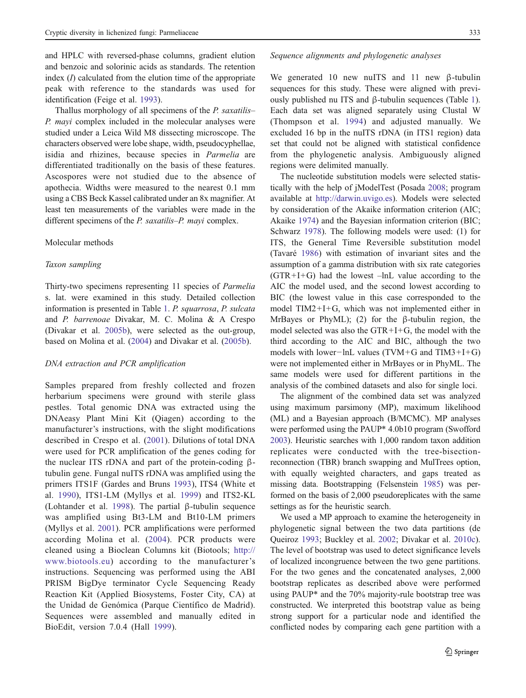and HPLC with reversed-phase columns, gradient elution and benzoic and solorinic acids as standards. The retention index  $(I)$  calculated from the elution time of the appropriate peak with reference to the standards was used for identification (Feige et al. [1993](#page-10-0)).

Thallus morphology of all specimens of the P. saxatilis– P. mayi complex included in the molecular analyses were studied under a Leica Wild M8 dissecting microscope. The characters observed were lobe shape, width, pseudocyphellae, isidia and rhizines, because species in Parmelia are differentiated traditionally on the basis of these features. Ascospores were not studied due to the absence of apothecia. Widths were measured to the nearest 0.1 mm using a CBS Beck Kassel calibrated under an 8x magnifier. At least ten measurements of the variables were made in the different specimens of the *P. saxatilis–P. mayi* complex.

## Molecular methods

#### Taxon sampling

Thirty-two specimens representing 11 species of Parmelia s. lat. were examined in this study. Detailed collection information is presented in Table [1](#page-3-0). P. squarrosa, P. sulcata and P. barrenoae Divakar, M. C. Molina & A Crespo (Divakar et al. [2005b\)](#page-10-0), were selected as the out-group, based on Molina et al. [\(2004](#page-11-0)) and Divakar et al. [\(2005b](#page-10-0)).

## DNA extraction and PCR amplification

Samples prepared from freshly collected and frozen herbarium specimens were ground with sterile glass pestles. Total genomic DNA was extracted using the DNAeasy Plant Mini Kit (Qiagen) according to the manufacturer's instructions, with the slight modifications described in Crespo et al. [\(2001\)](#page-10-0). Dilutions of total DNA were used for PCR amplification of the genes coding for the nuclear ITS rDNA and part of the protein-coding  $β$ tubulin gene. Fungal nuITS rDNA was amplified using the primers ITS1F (Gardes and Bruns [1993\)](#page-10-0), ITS4 (White et al. [1990](#page-11-0)), ITS1-LM (Myllys et al. [1999\)](#page-11-0) and ITS2-KL (Lohtander et al. [1998](#page-11-0)). The partial β-tubulin sequence was amplified using Bt3-LM and Bt10-LM primers (Myllys et al. [2001\)](#page-11-0). PCR amplifications were performed according Molina et al. [\(2004](#page-11-0)). PCR products were cleaned using a Bioclean Columns kit (Biotools; [http://](http://www.biotools.eu) [www.biotools.eu](http://www.biotools.eu)) according to the manufacturer's instructions. Sequencing was performed using the ABI PRISM BigDye terminator Cycle Sequencing Ready Reaction Kit (Applied Biosystems, Foster City, CA) at the Unidad de Genómica (Parque Científico de Madrid). Sequences were assembled and manually edited in BioEdit, version 7.0.4 (Hall [1999](#page-11-0)).

## Sequence alignments and phylogenetic analyses

We generated 10 new nuITS and 11 new β-tubulin sequences for this study. These were aligned with previously published nu ITS and β-tubulin sequences (Table [1\)](#page-3-0). Each data set was aligned separately using Clustal W (Thompson et al. [1994\)](#page-11-0) and adjusted manually. We excluded 16 bp in the nuITS rDNA (in ITS1 region) data set that could not be aligned with statistical confidence from the phylogenetic analysis. Ambiguously aligned regions were delimited manually.

The nucleotide substitution models were selected statistically with the help of jModelTest (Posada [2008;](#page-11-0) program available at [http://darwin.uvigo.es\)](http://darwin.uvigo.es). Models were selected by consideration of the Akaike information criterion (AIC; Akaike [1974\)](#page-10-0) and the Bayesian information criterion (BIC; Schwarz [1978](#page-11-0)). The following models were used: (1) for ITS, the General Time Reversible substitution model (Tavaré [1986\)](#page-11-0) with estimation of invariant sites and the assumption of a gamma distribution with six rate categories  $(GTR + I + G)$  had the lowest  $-\ln L$  value according to the AIC the model used, and the second lowest according to BIC (the lowest value in this case corresponded to the model  $TIM2+I+G$ , which was not implemented either in MrBayes or PhyML); (2) for the β-tubulin region, the model selected was also the  $GTR + I + G$ , the model with the third according to the AIC and BIC, although the two models with lower−lnL values (TVM+G and TIM3+I+G) were not implemented either in MrBayes or in PhyML. The same models were used for different partitions in the analysis of the combined datasets and also for single loci.

The alignment of the combined data set was analyzed using maximum parsimony (MP), maximum likelihood (ML) and a Bayesian approach (B/MCMC). MP analyses were performed using the PAUP\* 4.0b10 program (Swofford [2003\)](#page-11-0). Heuristic searches with 1,000 random taxon addition replicates were conducted with the tree-bisectionreconnection (TBR) branch swapping and MulTrees option, with equally weighted characters, and gaps treated as missing data. Bootstrapping (Felsenstein [1985\)](#page-10-0) was performed on the basis of 2,000 pseudoreplicates with the same settings as for the heuristic search.

We used a MP approach to examine the heterogeneity in phylogenetic signal between the two data partitions (de Queiroz [1993;](#page-10-0) Buckley et al. [2002](#page-10-0); Divakar et al. [2010c\)](#page-10-0). The level of bootstrap was used to detect significance levels of localized incongruence between the two gene partitions. For the two genes and the concatenated analyses, 2,000 bootstrap replicates as described above were performed using PAUP\* and the 70% majority-rule bootstrap tree was constructed. We interpreted this bootstrap value as being strong support for a particular node and identified the conflicted nodes by comparing each gene partition with a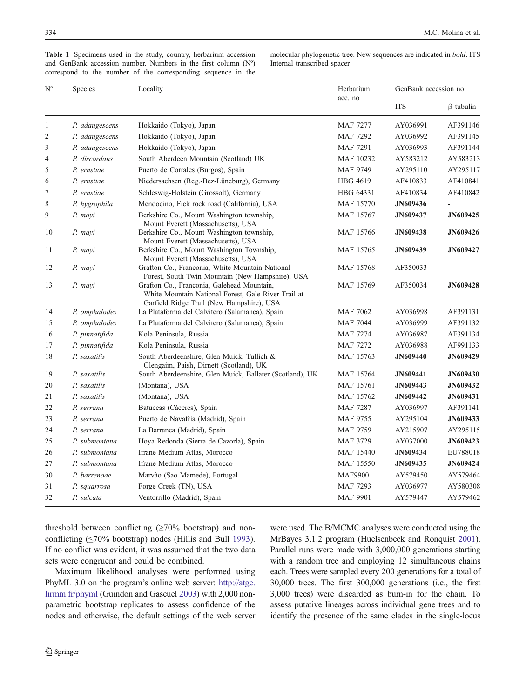| $\mathrm{N}^{\mathrm{o}}$ | Species        | Locality                                                                                                                                       | Herbarium<br>acc. no | GenBank accession no. |                  |
|---------------------------|----------------|------------------------------------------------------------------------------------------------------------------------------------------------|----------------------|-----------------------|------------------|
|                           |                |                                                                                                                                                |                      | <b>ITS</b>            | $\beta$ -tubulin |
| 1                         | P. adaugescens | Hokkaido (Tokyo), Japan                                                                                                                        | <b>MAF 7277</b>      | AY036991              | AF391146         |
| $\overline{2}$            | P. adaugescens | Hokkaido (Tokyo), Japan                                                                                                                        | <b>MAF 7292</b>      | AY036992              | AF391145         |
| 3                         | P. adaugescens | Hokkaido (Tokyo), Japan                                                                                                                        | <b>MAF 7291</b>      | AY036993              | AF391144         |
| $\overline{4}$            | P. discordans  | South Aberdeen Mountain (Scotland) UK                                                                                                          | MAF 10232            | AY583212              | AY583213         |
| 5                         | P. ernstiae    | Puerto de Corrales (Burgos), Spain                                                                                                             | MAF 9749             | AY295110              | AY295117         |
| 6                         | P. ernstiae    | Niedersachsen (Reg.-Bez-Lüneburg), Germany                                                                                                     | <b>HBG 4619</b>      | AF410833              | AF410841         |
| 7                         | P. ernstiae    | Schleswig-Holstein (Grossolt), Germany                                                                                                         | HBG 64331            | AF410834              | AF410842         |
| 8                         | P. hygrophila  | Mendocino, Fick rock road (California), USA                                                                                                    | MAF 15770            | JN609436              |                  |
| 9                         | P. mayi        | Berkshire Co., Mount Washington township,<br>Mount Everett (Massachusetts), USA                                                                | MAF 15767            | <b>JN609437</b>       | JN609425         |
| 10                        | P. mayi        | Berkshire Co., Mount Washington township,<br>Mount Everett (Massachusetts), USA                                                                | MAF 15766            | <b>JN609438</b>       | <b>JN609426</b>  |
| 11                        | P. mayi        | Berkshire Co., Mount Washington Township,<br>Mount Everett (Massachusetts), USA                                                                | MAF 15765            | <b>JN609439</b>       | JN609427         |
| 12                        | P. mayi        | Grafton Co., Franconia, White Mountain National<br>Forest, South Twin Mountain (New Hampshire), USA                                            | MAF 15768            | AF350033              |                  |
| 13                        | P. mayi        | Grafton Co., Franconia, Galehead Mountain,<br>White Mountain National Forest, Gale River Trail at<br>Garfield Ridge Trail (New Hampshire), USA | MAF 15769            | AF350034              | <b>JN609428</b>  |
| 14                        | P. omphalodes  | La Plataforma del Calvitero (Salamanca), Spain                                                                                                 | <b>MAF 7062</b>      | AY036998              | AF391131         |
| 15                        | P. omphalodes  | La Plataforma del Calvitero (Salamanca), Spain                                                                                                 | <b>MAF 7044</b>      | AY036999              | AF391132         |
| 16                        | P. pinnatifida | Kola Peninsula, Russia                                                                                                                         | <b>MAF 7274</b>      | AY036987              | AF391134         |
| 17                        | P. pinnatifida | Kola Peninsula, Russia                                                                                                                         | <b>MAF 7272</b>      | AY036988              | AF991133         |
| 18                        | P. saxatilis   | South Aberdeenshire, Glen Muick, Tullich &<br>Glengaim, Paish, Dirnett (Scotland), UK                                                          | MAF 15763            | <b>JN609440</b>       | <b>JN609429</b>  |
| 19                        | P. saxatilis   | South Aberdeenshire, Glen Muick, Ballater (Scotland), UK                                                                                       | MAF 15764            | <b>JN609441</b>       | <b>JN609430</b>  |
| 20                        | P. saxatilis   | (Montana), USA                                                                                                                                 | MAF 15761            | JN609443              | JN609432         |
| 21                        | P. saxatilis   | (Montana), USA                                                                                                                                 | MAF 15762            | <b>JN609442</b>       | JN609431         |
| 22                        | P. serrana     | Batuecas (Cáceres), Spain                                                                                                                      | <b>MAF 7287</b>      | AY036997              | AF391141         |
| 23                        | P. serrana     | Puerto de Navafría (Madrid), Spain                                                                                                             | MAF 9755             | AY295104              | JN609433         |
| 24                        | P. serrana     | La Barranca (Madrid), Spain                                                                                                                    | MAF 9759             | AY215907              | AY295115         |
| 25                        | P. submontana  | Hoya Redonda (Sierra de Cazorla), Spain                                                                                                        | MAF 3729             | AY037000              | JN609423         |
| 26                        | P. submontana  | Ifrane Medium Atlas, Morocco                                                                                                                   | <b>MAF 15440</b>     | JN609434              | EU788018         |
| 27                        | P. submontana  | Ifrane Medium Atlas, Morocco                                                                                                                   | <b>MAF 15550</b>     | JN609435              | <b>JN609424</b>  |
| 30                        | P. barrenoae   | Marvào (Sao Mamede), Portugal                                                                                                                  | <b>MAF9900</b>       | AY579450              | AY579464         |
| 31                        | P. squarrosa   | Forge Creek (TN), USA                                                                                                                          | MAF 7293             | AY036977              | AY580308         |
| 32                        | P. sulcata     | Ventorrillo (Madrid), Spain                                                                                                                    | <b>MAF 9901</b>      | AY579447              | AY579462         |

<span id="page-3-0"></span>Table 1 Specimens used in the study, country, herbarium accession and GenBank accession number. Numbers in the first column (Nº) correspond to the number of the corresponding sequence in the molecular phylogenetic tree. New sequences are indicated in bold. ITS Internal transcribed spacer

threshold between conflicting  $(\geq 70\%$  bootstrap) and nonconflicting (≤70% bootstrap) nodes (Hillis and Bull [1993](#page-11-0)). If no conflict was evident, it was assumed that the two data sets were congruent and could be combined.

Maximum likelihood analyses were performed using PhyML 3.0 on the program's online web server: [http://atgc.](http://atgc.lirmm.fr/phyml) [lirmm.fr/phyml](http://atgc.lirmm.fr/phyml) (Guindon and Gascuel [2003\)](#page-10-0) with 2,000 nonparametric bootstrap replicates to assess confidence of the nodes and otherwise, the default settings of the web server were used. The B/MCMC analyses were conducted using the MrBayes 3.1.2 program (Huelsenbeck and Ronquist [2001\)](#page-11-0). Parallel runs were made with 3,000,000 generations starting with a random tree and employing 12 simultaneous chains each. Trees were sampled every 200 generations for a total of 30,000 trees. The first 300,000 generations (i.e., the first 3,000 trees) were discarded as burn-in for the chain. To assess putative lineages across individual gene trees and to identify the presence of the same clades in the single-locus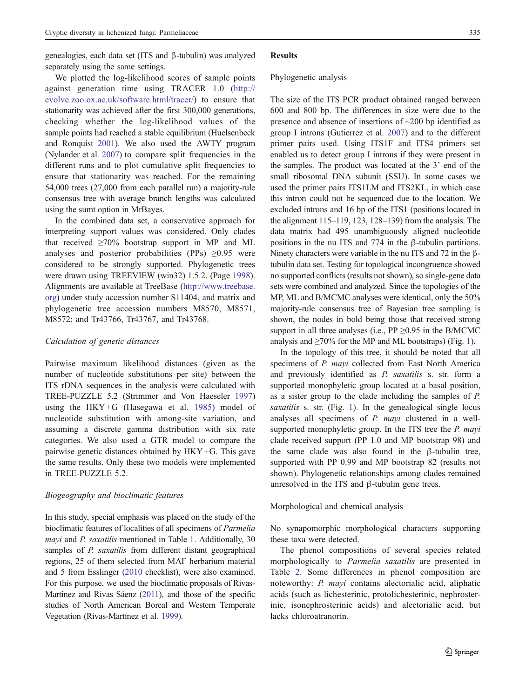genealogies, each data set (ITS and β-tubulin) was analyzed separately using the same settings.

We plotted the log-likelihood scores of sample points against generation time using TRACER 1.0 ([http://](http://evolve.zoo.ox.ac.uk/software.html/tracer/) [evolve.zoo.ox.ac.uk/software.html/tracer/](http://evolve.zoo.ox.ac.uk/software.html/tracer/)) to ensure that stationarity was achieved after the first 300,000 generations, checking whether the log-likelihood values of the sample points had reached a stable equilibrium (Huelsenbeck and Ronquist [2001](#page-11-0)). We also used the AWTY program (Nylander et al. [2007\)](#page-11-0) to compare split frequencies in the different runs and to plot cumulative split frequencies to ensure that stationarity was reached. For the remaining 54,000 trees (27,000 from each parallel run) a majority-rule consensus tree with average branch lengths was calculated using the sumt option in MrBayes.

In the combined data set, a conservative approach for interpreting support values was considered. Only clades that received  $\geq 70\%$  bootstrap support in MP and ML analyses and posterior probabilities (PPs)  $\geq 0.95$  were considered to be strongly supported. Phylogenetic trees were drawn using TREEVIEW (win32) 1.5.2. (Page [1998](#page-11-0)). Alignments are available at TreeBase [\(http://www.treebase.](http://www.treebase.org) [org](http://www.treebase.org)) under study accession number S11404, and matrix and phylogenetic tree accession numbers M8570, M8571, M8572; and Tr43766, Tr43767, and Tr43768.

#### Calculation of genetic distances

Pairwise maximum likelihood distances (given as the number of nucleotide substitutions per site) between the ITS rDNA sequences in the analysis were calculated with TREE-PUZZLE 5.2 (Strimmer and Von Haeseler [1997\)](#page-11-0) using the HKY+G (Hasegawa et al. [1985](#page-11-0)) model of nucleotide substitution with among-site variation, and assuming a discrete gamma distribution with six rate categories. We also used a GTR model to compare the pairwise genetic distances obtained by HKY+G. This gave the same results. Only these two models were implemented in TREE-PUZZLE 5.2.

# Biogeography and bioclimatic features

In this study, special emphasis was placed on the study of the bioclimatic features of localities of all specimens of Parmelia mayi and P. saxatilis mentioned in Table [1.](#page-3-0) Additionally, 30 samples of *P. saxatilis* from different distant geographical regions, 25 of them selected from MAF herbarium material and 5 from Esslinger ([2010](#page-10-0) checklist), were also examined. For this purpose, we used the bioclimatic proposals of Rivas-Martínez and Rivas Sáenz [\(2011](#page-11-0)), and those of the specific studies of North American Boreal and Western Temperate Vegetation (Rivas-Martínez et al. [1999\)](#page-11-0).

#### Results

#### Phylogenetic analysis

The size of the ITS PCR product obtained ranged between 600 and 800 bp. The differences in size were due to the presence and absence of insertions of ~200 bp identified as group I introns (Gutierrez et al. [2007\)](#page-11-0) and to the different primer pairs used. Using ITS1F and ITS4 primers set enabled us to detect group I introns if they were present in the samples. The product was located at the 3' end of the small ribosomal DNA subunit (SSU). In some cases we used the primer pairs ITS1LM and ITS2KL, in which case this intron could not be sequenced due to the location. We excluded introns and 16 bp of the ITS1 (positions located in the alignment 115–119, 123, 128–139) from the analysis. The data matrix had 495 unambiguously aligned nucleotide positions in the nu ITS and 774 in the β-tubulin partitions. Ninety characters were variable in the nu ITS and 72 in the βtubulin data set. Testing for topological incongruence showed no supported conflicts (results not shown), so single-gene data sets were combined and analyzed. Since the topologies of the MP, ML and B/MCMC analyses were identical, only the 50% majority-rule consensus tree of Bayesian tree sampling is shown, the nodes in bold being those that received strong support in all three analyses (i.e.,  $PP \geq 0.95$  in the B/MCMC analysis and  $\geq$ 70% for the MP and ML bootstraps) (Fig. [1](#page-6-0)).

In the topology of this tree, it should be noted that all specimens of P. mayi collected from East North America and previously identified as P. saxatilis s. str. form a supported monophyletic group located at a basal position, as a sister group to the clade including the samples of P. saxatilis s. str. (Fig. [1](#page-6-0)). In the genealogical single locus analyses all specimens of P. mayi clustered in a wellsupported monophyletic group. In the ITS tree the P. mayi clade received support (PP 1.0 and MP bootstrap 98) and the same clade was also found in the β-tubulin tree, supported with PP 0.99 and MP bootstrap 82 (results not shown). Phylogenetic relationships among clades remained unresolved in the ITS and β-tubulin gene trees.

Morphological and chemical analysis

No synapomorphic morphological characters supporting these taxa were detected.

The phenol compositions of several species related morphologically to Parmelia saxatilis are presented in Table [2.](#page-6-0) Some differences in phenol composition are noteworthy: P. mayi contains alectorialic acid, aliphatic acids (such as lichesterinic, protolichesterinic, nephrosterinic, isonephrosterinic acids) and alectorialic acid, but lacks chloroatranorin.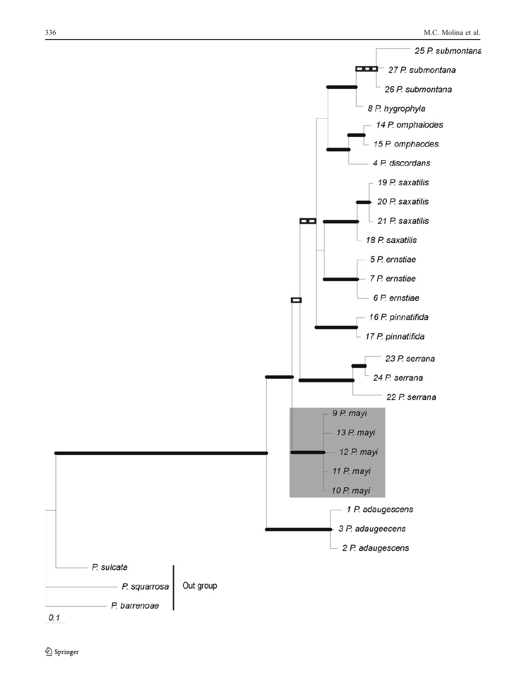



 $0.1$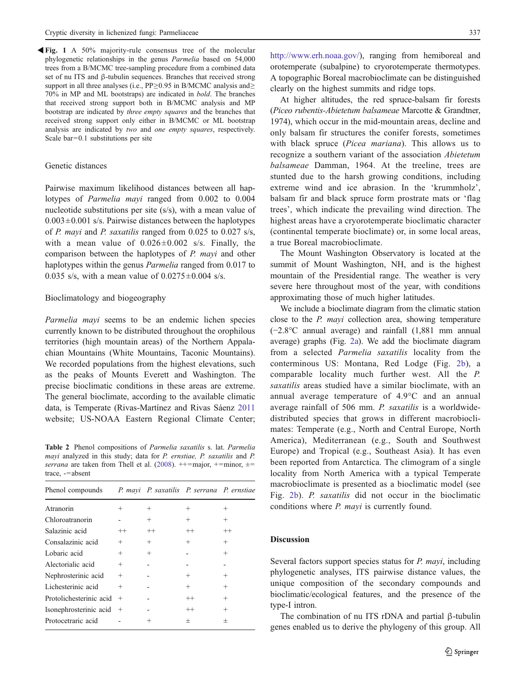<span id="page-6-0"></span>Fig. 1 A 50% majority-rule consensus tree of the molecular phylogenetic relationships in the genus Parmelia based on 54,000 trees from a B/MCMC tree-sampling procedure from a combined data set of nu ITS and β-tubulin sequences. Branches that received strong support in all three analyses (i.e., PP≥0.95 in B/MCMC analysis and≥ 70% in MP and ML bootstraps) are indicated in bold. The branches that received strong support both in B/MCMC analysis and MP bootstrap are indicated by three empty squares and the branches that received strong support only either in B/MCMC or ML bootstrap analysis are indicated by two and one empty squares, respectively. Scale bar=0.1 substitutions per site

## Genetic distances

Pairwise maximum likelihood distances between all haplotypes of Parmelia mayi ranged from 0.002 to 0.004 nucleotide substitutions per site (s/s), with a mean value of  $0.003 \pm 0.001$  s/s. Pairwise distances between the haplotypes of P. mayi and P. saxatilis ranged from 0.025 to 0.027 s/s, with a mean value of  $0.026 \pm 0.002$  s/s. Finally, the comparison between the haplotypes of P. mayi and other haplotypes within the genus *Parmelia* ranged from 0.017 to 0.035 s/s, with a mean value of  $0.0275 \pm 0.004$  s/s.

## Bioclimatology and biogeography

Parmelia mayi seems to be an endemic lichen species currently known to be distributed throughout the orophilous territories (high mountain areas) of the Northern Appalachian Mountains (White Mountains, Taconic Mountains). We recorded populations from the highest elevations, such as the peaks of Mounts Everett and Washington. The precise bioclimatic conditions in these areas are extreme. The general bioclimate, according to the available climatic data, is Temperate (Rivas-Martínez and Rivas Sáenz [2011](#page-11-0) website; US-NOAA Eastern Regional Climate Center;

Table 2 Phenol compositions of Parmelia saxatilis s. lat. Parmelia mayi analyzed in this study; data for P. ernstiae, P. saxatilis and P. serrana are taken from Thell et al. ([2008\)](#page-11-0).  $++=$ major,  $+=$ minor,  $\pm$ = trace, -=absent

| Phenol compounds        |        | P. mayi P. saxatilis P. serrana P. ernstiae |                |                |
|-------------------------|--------|---------------------------------------------|----------------|----------------|
| Atranorin               | $^{+}$ | $^{+}$                                      | $^{+}$         | $^+$           |
| Chloroatranorin         |        | $^{+}$                                      | $^{+}$         | $\pm$          |
| Salazinic acid          | $++$   | $^{++}$                                     | $^{++}$        |                |
| Consalazinic acid       | $^{+}$ | $^{+}$                                      | $^{+}$         | $^+$           |
| Lobaric acid            | $^{+}$ | $^{+}$                                      |                | $\pm$          |
| Alectorialic acid       | $^{+}$ |                                             |                |                |
| Nephrosterinic acid     | $^{+}$ |                                             | $\overline{+}$ | $^+$           |
| Lichesterinic acid      | $^{+}$ |                                             | $^{+}$         | $\pm$          |
| Protolichesterinic acid | $+$    |                                             | $^{++}$        | $^+$           |
| Isonephrosterinic acid  | $+$    |                                             | $^{++}$        | $\overline{+}$ |
| Protocetraric acid      |        |                                             | $\pm$          | $^+$           |

[http://www.erh.noaa.gov/\)](http://www.erh.noaa.gov/), ranging from hemiboreal and orotemperate (subalpine) to cryorotemperate thermotypes. A topographic Boreal macrobioclimate can be distinguished clearly on the highest summits and ridge tops.

At higher altitudes, the red spruce-balsam fir forests (Piceo rubentis-Abietetum balsameae Marcotte & Grandtner, 1974), which occur in the mid-mountain areas, decline and only balsam fir structures the conifer forests, sometimes with black spruce (*Picea mariana*). This allows us to recognize a southern variant of the association Abietetum balsameae Damman, 1964. At the treeline, trees are stunted due to the harsh growing conditions, including extreme wind and ice abrasion. In the 'krummholz', balsam fir and black spruce form prostrate mats or 'flag trees', which indicate the prevailing wind direction. The highest areas have a cryorotemperate bioclimatic character (continental temperate bioclimate) or, in some local areas, a true Boreal macrobioclimate.

The Mount Washington Observatory is located at the summit of Mount Washington, NH, and is the highest mountain of the Presidential range. The weather is very severe here throughout most of the year, with conditions approximating those of much higher latitudes.

We include a bioclimate diagram from the climatic station close to the P. mayi collection area, showing temperature (−2.8°C annual average) and rainfall (1,881 mm annual average) graphs (Fig. [2a\)](#page-7-0). We add the bioclimate diagram from a selected Parmelia saxatilis locality from the conterminous US: Montana, Red Lodge (Fig. [2b](#page-7-0)), a comparable locality much further west. All the P. saxatilis areas studied have a similar bioclimate, with an annual average temperature of 4.9°C and an annual average rainfall of 506 mm. P. saxatilis is a worldwidedistributed species that grows in different macrobioclimates: Temperate (e.g., North and Central Europe, North America), Mediterranean (e.g., South and Southwest Europe) and Tropical (e.g., Southeast Asia). It has even been reported from Antarctica. The climogram of a single locality from North America with a typical Temperate macrobioclimate is presented as a bioclimatic model (see Fig. [2b](#page-7-0)). P. saxatilis did not occur in the bioclimatic conditions where P. mayi is currently found.

## Discussion

Several factors support species status for *P. mayi*, including phylogenetic analyses, ITS pairwise distance values, the unique composition of the secondary compounds and bioclimatic/ecological features, and the presence of the type-I intron.

The combination of nu ITS rDNA and partial β-tubulin genes enabled us to derive the phylogeny of this group. All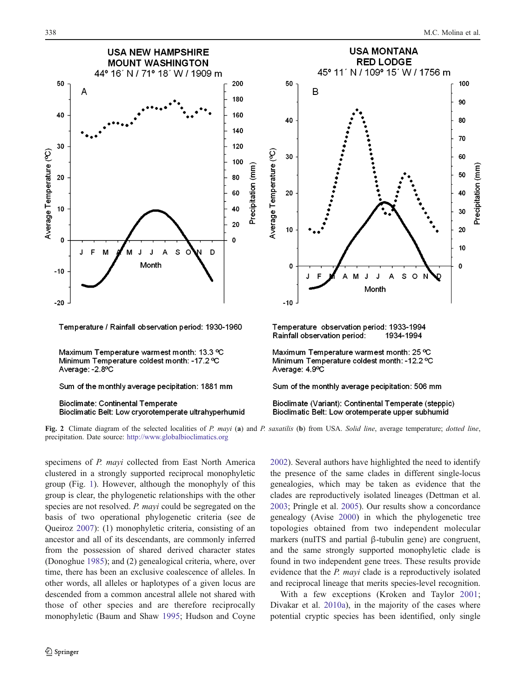<span id="page-7-0"></span>

precipitation. Date source: <http://www.globalbioclimatics.org>

specimens of P. mayi collected from East North America clustered in a strongly supported reciprocal monophyletic group (Fig. [1](#page-6-0)). However, although the monophyly of this group is clear, the phylogenetic relationships with the other species are not resolved. P. mayi could be segregated on the basis of two operational phylogenetic criteria (see de Queiroz [2007\)](#page-10-0): (1) monophyletic criteria, consisting of an ancestor and all of its descendants, are commonly inferred from the possession of shared derived character states (Donoghue [1985](#page-10-0)); and (2) genealogical criteria, where, over time, there has been an exclusive coalescence of alleles. In other words, all alleles or haplotypes of a given locus are descended from a common ancestral allele not shared with those of other species and are therefore reciprocally monophyletic (Baum and Shaw [1995;](#page-10-0) Hudson and Coyne [2002](#page-11-0)). Several authors have highlighted the need to identify the presence of the same clades in different single-locus genealogies, which may be taken as evidence that the clades are reproductively isolated lineages (Dettman et al. [2003](#page-10-0); Pringle et al. [2005](#page-11-0)). Our results show a concordance genealogy (Avise [2000\)](#page-10-0) in which the phylogenetic tree topologies obtained from two independent molecular markers (nuITS and partial β-tubulin gene) are congruent, and the same strongly supported monophyletic clade is found in two independent gene trees. These results provide evidence that the P. mayi clade is a reproductively isolated and reciprocal lineage that merits species-level recognition.

With a few exceptions (Kroken and Taylor [2001;](#page-11-0) Divakar et al. [2010a](#page-10-0)), in the majority of the cases where potential cryptic species has been identified, only single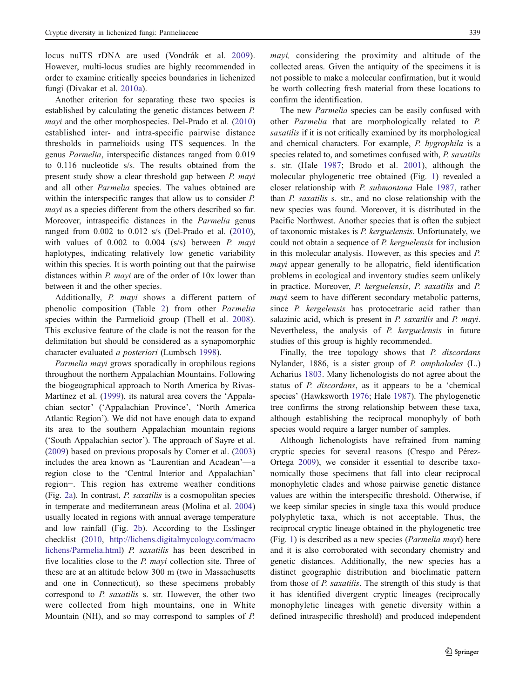locus nuITS rDNA are used (Vondrák et al. [2009](#page-11-0)). However, multi-locus studies are highly recommended in order to examine critically species boundaries in lichenized fungi (Divakar et al. [2010a](#page-10-0)).

Another criterion for separating these two species is established by calculating the genetic distances between P. mayi and the other morphospecies. Del-Prado et al. ([2010\)](#page-10-0) established inter- and intra-specific pairwise distance thresholds in parmelioids using ITS sequences. In the genus Parmelia, interspecific distances ranged from 0.019 to 0.116 nucleotide s/s. The results obtained from the present study show a clear threshold gap between P. mayi and all other Parmelia species. The values obtained are within the interspecific ranges that allow us to consider P. mayi as a species different from the others described so far. Moreover, intraspecific distances in the Parmelia genus ranged from 0.002 to 0.012 s/s (Del-Prado et al. [\(2010](#page-10-0)), with values of  $0.002$  to  $0.004$  (s/s) between  $P$ . mayi haplotypes, indicating relatively low genetic variability within this species. It is worth pointing out that the pairwise distances within *P. mayi* are of the order of 10x lower than between it and the other species.

Additionally, P. mayi shows a different pattern of phenolic composition (Table [2\)](#page-6-0) from other Parmelia species within the Parmelioid group (Thell et al. [2008](#page-11-0)). This exclusive feature of the clade is not the reason for the delimitation but should be considered as a synapomorphic character evaluated a posteriori (Lumbsch [1998](#page-11-0)).

Parmelia mayi grows sporadically in orophilous regions throughout the northern Appalachian Mountains. Following the biogeographical approach to North America by Rivas-Martínez et al. ([1999\)](#page-11-0), its natural area covers the 'Appalachian sector' ('Appalachian Province', 'North America Atlantic Region'). We did not have enough data to expand its area to the southern Appalachian mountain regions ('South Appalachian sector'). The approach of Sayre et al. [\(2009](#page-11-0)) based on previous proposals by Comer et al. ([2003\)](#page-10-0) includes the area known as 'Laurentian and Acadean'—a region close to the 'Central Interior and Appalachian' region−. This region has extreme weather conditions (Fig. [2a\)](#page-7-0). In contrast, P. saxatilis is a cosmopolitan species in temperate and mediterranean areas (Molina et al. [2004\)](#page-11-0) usually located in regions with annual average temperature and low rainfall (Fig. [2b](#page-7-0)). According to the Esslinger checklist [\(2010](#page-10-0), [http://lichens.digitalmycology.com/macro](http://lichens.digitalmycology.com/macrolichens/Parmelia.html) [lichens/Parmelia.html](http://lichens.digitalmycology.com/macrolichens/Parmelia.html)) P. saxatilis has been described in five localities close to the *P. mayi* collection site. Three of these are at an altitude below 300 m (two in Massachusetts and one in Connecticut), so these specimens probably correspond to P. saxatilis s. str. However, the other two were collected from high mountains, one in White Mountain (NH), and so may correspond to samples of P.

mayi, considering the proximity and altitude of the collected areas. Given the antiquity of the specimens it is not possible to make a molecular confirmation, but it would be worth collecting fresh material from these locations to confirm the identification.

The new Parmelia species can be easily confused with other Parmelia that are morphologically related to P. saxatilis if it is not critically examined by its morphological and chemical characters. For example, P. hygrophila is a species related to, and sometimes confused with, P. saxatilis s. str. (Hale [1987;](#page-11-0) Brodo et al. [2001\)](#page-10-0), although the molecular phylogenetic tree obtained (Fig. [1\)](#page-6-0) revealed a closer relationship with P. submontana Hale [1987](#page-11-0), rather than P. saxatilis s. str., and no close relationship with the new species was found. Moreover, it is distributed in the Pacific Northwest. Another species that is often the subject of taxonomic mistakes is P. kerguelensis. Unfortunately, we could not obtain a sequence of P. kerguelensis for inclusion in this molecular analysis. However, as this species and P. mayi appear generally to be allopatric, field identification problems in ecological and inventory studies seem unlikely in practice. Moreover, P. kerguelensis, P. saxatilis and P. mayi seem to have different secondary metabolic patterns, since *P. kergelensis* has protocetraric acid rather than salazinic acid, which is present in *P. saxatilis* and *P. mayi.* Nevertheless, the analysis of P. kerguelensis in future studies of this group is highly recommended.

Finally, the tree topology shows that *P. discordans* Nylander, 1886, is a sister group of P. omphalodes (L.) Acharius [1803.](#page-10-0) Many lichenologists do not agree about the status of P. discordans, as it appears to be a 'chemical species' (Hawksworth [1976;](#page-11-0) Hale [1987\)](#page-11-0). The phylogenetic tree confirms the strong relationship between these taxa, although establishing the reciprocal monophyly of both species would require a larger number of samples.

Although lichenologists have refrained from naming cryptic species for several reasons (Crespo and Pérez-Ortega [2009](#page-10-0)), we consider it essential to describe taxonomically those specimens that fall into clear reciprocal monophyletic clades and whose pairwise genetic distance values are within the interspecific threshold. Otherwise, if we keep similar species in single taxa this would produce polyphyletic taxa, which is not acceptable. Thus, the reciprocal cryptic lineage obtained in the phylogenetic tree (Fig. [1](#page-6-0)) is described as a new species (Parmelia mayi) here and it is also corroborated with secondary chemistry and genetic distances. Additionally, the new species has a distinct geographic distribution and bioclimatic pattern from those of P. saxatilis. The strength of this study is that it has identified divergent cryptic lineages (reciprocally monophyletic lineages with genetic diversity within a defined intraspecific threshold) and produced independent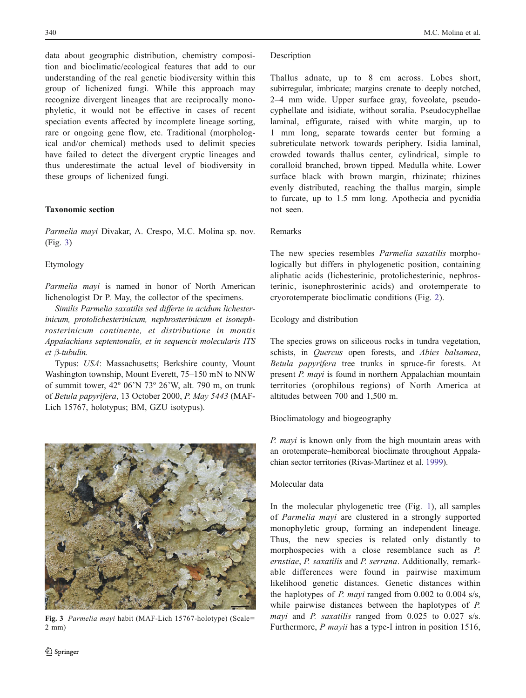data about geographic distribution, chemistry composition and bioclimatic/ecological features that add to our understanding of the real genetic biodiversity within this group of lichenized fungi. While this approach may recognize divergent lineages that are reciprocally monophyletic, it would not be effective in cases of recent speciation events affected by incomplete lineage sorting, rare or ongoing gene flow, etc. Traditional (morphological and/or chemical) methods used to delimit species have failed to detect the divergent cryptic lineages and thus underestimate the actual level of biodiversity in these groups of lichenized fungi.

# Taxonomic section

Parmelia mayi Divakar, A. Crespo, M.C. Molina sp. nov. (Fig. 3)

## Etymology

Parmelia mayi is named in honor of North American lichenologist Dr P. May, the collector of the specimens.

Similis Parmelia saxatilis sed differte in acidum lichesterinicum, protolichesterinicum, nephrosterinicum et isonephrosterinicum continente, et distributione in montis Appalachians septentonalis, et in sequencis molecularis ITS et β-tubulin.

Typus: USA: Massachusetts; Berkshire county, Mount Washington township, Mount Everett, 75–150 mN to NNW of summit tower, 42º 06'N 73º 26'W, alt. 790 m, on trunk of Betula papyrifera, 13 October 2000, P. May 5443 (MAF-Lich 15767, holotypus; BM, GZU isotypus).



Fig. 3 Parmelia mayi habit (MAF-Lich 15767-holotype) (Scale= 2 mm)

## **Description**

Thallus adnate, up to 8 cm across. Lobes short, subirregular, imbricate; margins crenate to deeply notched, 2–4 mm wide. Upper surface gray, foveolate, pseudocyphellate and isidiate, without soralia. Pseudocyphellae laminal, effigurate, raised with white margin, up to 1 mm long, separate towards center but forming a subreticulate network towards periphery. Isidia laminal, crowded towards thallus center, cylindrical, simple to coralloid branched, brown tipped. Medulla white. Lower surface black with brown margin, rhizinate; rhizines evenly distributed, reaching the thallus margin, simple to furcate, up to 1.5 mm long. Apothecia and pycnidia not seen.

## Remarks

The new species resembles Parmelia saxatilis morphologically but differs in phylogenetic position, containing aliphatic acids (lichesterinic, protolichesterinic, nephrosterinic, isonephrosterinic acids) and orotemperate to cryorotemperate bioclimatic conditions (Fig. [2\)](#page-7-0).

# Ecology and distribution

The species grows on siliceous rocks in tundra vegetation, schists, in Quercus open forests, and Abies balsamea, Betula papyrifera tree trunks in spruce-fir forests. At present P. mayi is found in northern Appalachian mountain territories (orophilous regions) of North America at altitudes between 700 and 1,500 m.

# Bioclimatology and biogeography

P. mayi is known only from the high mountain areas with an orotemperate–hemiboreal bioclimate throughout Appalachian sector territories (Rivas-Martínez et al. [1999\)](#page-11-0).

# Molecular data

In the molecular phylogenetic tree (Fig. [1](#page-6-0)), all samples of Parmelia mayi are clustered in a strongly supported monophyletic group, forming an independent lineage. Thus, the new species is related only distantly to morphospecies with a close resemblance such as P. ernstiae, P. saxatilis and P. serrana. Additionally, remarkable differences were found in pairwise maximum likelihood genetic distances. Genetic distances within the haplotypes of P. mayi ranged from 0.002 to 0.004 s/s, while pairwise distances between the haplotypes of P. mayi and P. saxatilis ranged from 0.025 to 0.027 s/s. Furthermore, *P mayii* has a type-I intron in position 1516,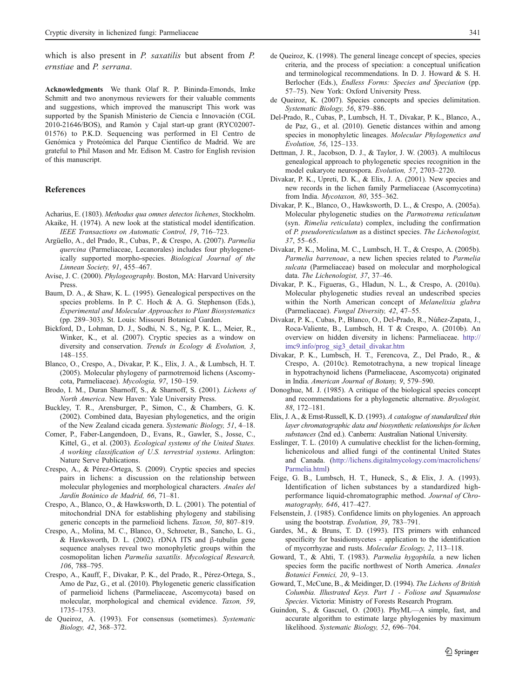<span id="page-10-0"></span>which is also present in *P. saxatilis* but absent from *P.* ernstiae and P. serrana.

Acknowledgments We thank Olaf R. P. Bininda-Emonds, Imke Schmitt and two anonymous reviewers for their valuable comments and suggestions, which improved the manuscript This work was supported by the Spanish Ministerio de Ciencia e Innovación (CGL 2010-21646/BOS), and Ramón y Cajal start-up grant (RYC02007- 01576) to P.K.D. Sequencing was performed in El Centro de Genómica y Proteómica del Parque Científico de Madrid. We are grateful to Phil Mason and Mr. Edison M. Castro for English revision of this manuscript.

#### References

- Acharius, E. (1803). Methodus qua omnes detectos lichenes, Stockholm. Akaike, H. (1974). A new look at the statistical model identification. IEEE Transactions on Automatic Control, 19, 716–723.
- Argüello, A., del Prado, R., Cubas, P., & Crespo, A. (2007). Parmelia quercina (Parmeliaceae, Lecanorales) includes four phylogenetically supported morpho-species. Biological Journal of the Linnean Society, 91, 455–467.
- Avise, J. C. (2000). Phylogeography. Boston, MA: Harvard University Press.
- Baum, D. A., & Shaw, K. L. (1995). Genealogical perspectives on the species problems. In P. C. Hoch & A. G. Stephenson (Eds.), Experimental and Molecular Approaches to Plant Biosystematics (pp. 289–303). St. Louis: Missouri Botanical Garden.
- Bickford, D., Lohman, D. J., Sodhi, N. S., Ng, P. K. L., Meier, R., Winker, K., et al. (2007). Cryptic species as a window on diversity and conservation. Trends in Ecology & Evolution, 3, 148–155.
- Blanco, O., Crespo, A., Divakar, P. K., Elix, J. A., & Lumbsch, H. T. (2005). Molecular phylogeny of parmotremoid lichens (Ascomycota, Parmeliaceae). Mycologia, 97, 150–159.
- Brodo, I. M., Duran Sharnoff, S., & Sharnoff, S. (2001). Lichens of North America. New Haven: Yale University Press.
- Buckley, T. R., Arensburger, P., Simon, C., & Chambers, G. K. (2002). Combined data, Bayesian phylogenetics, and the origin of the New Zealand cicada genera. Systematic Biology, 51, 4–18.
- Comer, P., Faber-Langendoen, D., Evans, R., Gawler, S., Josse, C., Kittel, G., et al. (2003). Ecological systems of the United States. A working classification of U.S. terrestrial systems. Arlington: Nature Serve Publications.
- Crespo, A., & Pérez-Ortega, S. (2009). Cryptic species and species pairs in lichens: a discussion on the relationship between molecular phylogenies and morphological characters. Anales del Jardín Botánico de Madrid, 66, 71–81.
- Crespo, A., Blanco, O., & Hawksworth, D. L. (2001). The potential of mitochondrial DNA for establishing phylogeny and stabilising generic concepts in the parmelioid lichens. Taxon, 50, 807–819.
- Crespo, A., Molina, M. C., Blanco, O., Schroeter, B., Sancho, L. G., & Hawksworth, D. L. (2002). rDNA ITS and β-tubulin gene sequence analyses reveal two monophyletic groups within the cosmopolitan lichen Parmelia saxatilis. Mycological Research, 106, 788–795.
- Crespo, A., Kauff, F., Divakar, P. K., del Prado, R., Pérez-Ortega, S., Amo de Paz, G., et al. (2010). Phylogenetic generic classification of parmelioid lichens (Parmeliaceae, Ascomycota) based on molecular, morphological and chemical evidence. Taxon, 59, 1735–1753.
- de Queiroz, A. (1993). For consensus (sometimes). Systematic Biology, 42, 368–372.
- de Queiroz, K. (1998). The general lineage concept of species, species criteria, and the process of speciation: a conceptual unification and terminological recommendations. In D. J. Howard & S. H. Berlocher (Eds.), Endless Forms: Species and Speciation (pp. 57–75). New York: Oxford University Press.
- de Queiroz, K. (2007). Species concepts and species delimitation. Systematic Biology, 56, 879–886.
- Del-Prado, R., Cubas, P., Lumbsch, H. T., Divakar, P. K., Blanco, A., de Paz, G., et al. (2010). Genetic distances within and among species in monophyletic lineages. Molecular Phylogenetics and Evolution, 56, 125–133.
- Dettman, J. R., Jacobson, D. J., & Taylor, J. W. (2003). A multilocus genealogical approach to phylogenetic species recognition in the model eukaryote neurospora. Evolution, 57, 2703–2720.
- Divakar, P. K., Upreti, D. K., & Elix, J. A. (2001). New species and new records in the lichen family Parmeliaceae (Ascomycotina) from India. Mycotaxon, 80, 355–362.
- Divakar, P. K., Blanco, O., Hawksworth, D. L., & Crespo, A. (2005a). Molecular phylogenetic studies on the Parmotrema reticulatum (syn. Rimelia reticulata) complex, including the confirmation of P. pseudoreticulatum as a distinct species. The Lichenologist, 37, 55–65.
- Divakar, P. K., Molina, M. C., Lumbsch, H. T., & Crespo, A. (2005b). Parmelia barrenoae, a new lichen species related to Parmelia sulcata (Parmeliaceae) based on molecular and morphological data. The Lichenologist, 37, 37–46.
- Divakar, P. K., Figueras, G., Hladun, N. L., & Crespo, A. (2010a). Molecular phylogenetic studies reveal an undescribed species within the North American concept of Melanelixia glabra (Parmeliaceae). Fungal Diversity, 42, 47–55.
- Divakar, P. K., Cubas, P., Blanco, O., Del-Prado, R., Núñez-Zapata, J., Roca-Valiente, B., Lumbsch, H. T & Crespo, A. (2010b). An overview on hidden diversity in lichens: Parmeliaceae. [http://](http://imc9.info/prog_sig3_detail_divakar.htm) [imc9.info/prog\\_sig3\\_detail\\_divakar.htm](http://imc9.info/prog_sig3_detail_divakar.htm)
- Divakar, P. K., Lumbsch, H. T., Ferencova, Z., Del Prado, R., & Crespo, A. (2010c). Remototrachyna, a new tropical lineage in hypotrachynoid lichens (Parmeliaceae, Ascomycota) originated in India. American Journal of Botany, 9, 579–590.
- Donoghue, M. J. (1985). A critique of the biological species concept and recommendations for a phylogenetic alternative. Bryologist, 88, 172–181.
- Elix, J. A., & Ernst-Russell, K. D. (1993). A catalogue of standardized thin layer chromatographic data and biosynthetic relationships for lichen substances (2nd ed.). Canberra: Australian National University.
- Esslinger, T. L. (2010) A cumulative checklist for the lichen-forming, lichenicolous and allied fungi of the continental United States and Canada. [\(http://lichens.digitalmycology.com/macrolichens/](http://lichens.digitalmycology.com/macrolichens/Parmelia.html) [Parmelia.html](http://lichens.digitalmycology.com/macrolichens/Parmelia.html))
- Feige, G. B., Lumbsch, H. T., Huneck, S., & Elix, J. A. (1993). Identification of lichen substances by a standardized highperformance liquid-chromatographic method. Journal of Chromatography, 646, 417–427.
- Felsenstein, J. (1985). Confidence limits on phylogenies. An approach using the bootstrap. Evolution, 39, 783–791.
- Gardes, M., & Bruns, T. D. (1993). ITS primers with enhanced specificity for basidiomycetes - application to the identification of mycorrhyzae and rusts. Molecular Ecology, 2, 113–118.
- Goward, T., & Ahti, T. (1983). Parmelia hygophila, a new lichen species form the pacific northwest of North America. Annales Botanici Fennici, 20, 9–13.
- Goward, T., McCune, B., & Meidinger, D. (1994). The Lichens of British Columbia. Illustrated Keys. Part 1 - Foliose and Squamulose Species. Victoria: Ministry of Forests Research Program.
- Guindon, S., & Gascuel, O. (2003). PhyML—A simple, fast, and accurate algorithm to estimate large phylogenies by maximum likelihood. Systematic Biology, 52, 696–704.